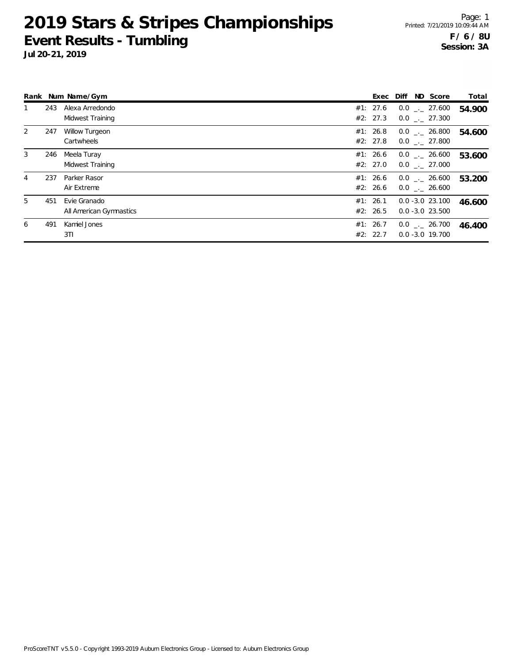|   |     | Rank Num Name/Gym                       | Exec                 |  | Diff ND Score                            | Total  |
|---|-----|-----------------------------------------|----------------------|--|------------------------------------------|--------|
|   | 243 | Alexa Arredondo<br>Midwest Training     | #1: 27.6<br>#2: 27.3 |  | $0.0$ _._ 27.600<br>$0.0$ . 27.300       | 54.900 |
| 2 | 247 | <b>Willow Turgeon</b><br>Cartwheels     | #1: 26.8<br>#2: 27.8 |  | $0.0$ _._ 26.800<br>$0.0$ . 27.800       | 54.600 |
| 3 | 246 | Meela Turay<br>Midwest Training         | #1: 26.6<br>#2: 27.0 |  | $0.0$ _. 26.600<br>$0.0$ _._ 27.000      | 53.600 |
| 4 | 237 | Parker Rasor<br>Air Extreme             | #1: 26.6<br>#2: 26.6 |  | $0.0$ _._ 26.600<br>$0.0$ _. 26.600      | 53.200 |
| 5 | 451 | Evie Granado<br>All American Gymnastics | #1: 26.1<br>#2: 26.5 |  | $0.0 - 3.0 23.100$<br>$0.0 - 3.0 23.500$ | 46.600 |
| 6 | 491 | Kamiel Jones<br>3T1                     | #1: 26.7<br>#2: 22.7 |  | $0.0$ _._ 26.700<br>$0.0 - 3.0 19.700$   | 46.400 |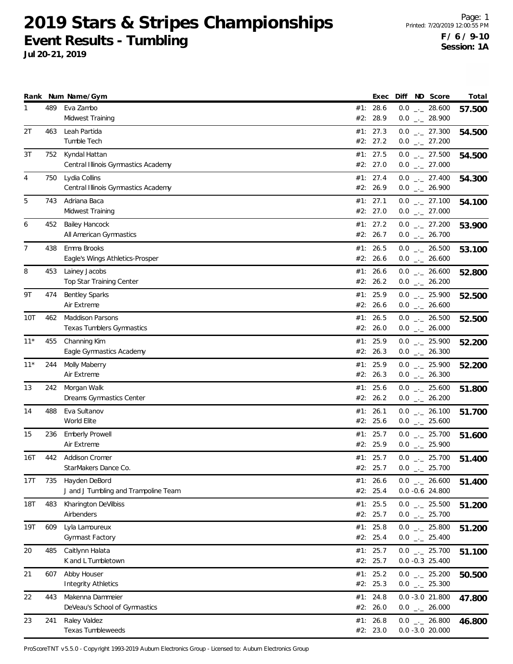**Jul 20-21, 2019**

|                |     | Rank Num Name/Gym                                           |     | Exec                   | Diff | ND Score                                         | Total  |
|----------------|-----|-------------------------------------------------------------|-----|------------------------|------|--------------------------------------------------|--------|
| 1              | 489 | Eva Zambo<br>Midwest Training                               | #2: | #1: 28.6<br>28.9       |      | $0.0$ _ 28.600<br>$0.0$ $_{-}$ 28.900            | 57.500 |
| 2T             | 463 | Leah Partida<br>Tumble Tech                                 |     | #1: 27.3<br>#2: 27.2   |      | $0.0$ $_{\leftarrow}$ 27.300<br>$0.0$ _._ 27.200 | 54.500 |
| 3T             | 752 | Kyndal Hattan<br>Central Illinois Gymnastics Academy        |     | #1: 27.5<br>#2: 27.0   |      | $0.0$ _ 27.500<br>$0.0$ $_{\leftarrow}$ 27.000   | 54.500 |
| 4              | 750 | Lydia Collins<br>Central Illinois Gymnastics Academy        |     | #1: 27.4<br>#2: 26.9   |      | $0.0$ _ 27.400<br>$0.0$ _ 26.900                 | 54.300 |
| 5              | 743 | Adriana Baca<br>Midwest Training                            |     | #1: 27.1<br>#2: 27.0   |      | $0.0$ _ 27.100<br>$0.0$ $_{\leftarrow}$ 27.000   | 54.100 |
| 6              | 452 | <b>Bailey Hancock</b><br>All American Gymnastics            |     | #1: $27.2$<br>#2: 26.7 |      | $0.0$ _ 27.200<br>$0.0$ _ 26.700                 | 53.900 |
| $\overline{7}$ | 438 | Emma Brooks<br>Eagle's Wings Athletics-Prosper              | #2: | #1: 26.5<br>26.6       |      | $0.0$ _ 26.500<br>$0.0$ _ 26.600                 | 53.100 |
| 8              | 453 | Lainey Jacobs<br>Top Star Training Center                   |     | #1: 26.6<br>#2: 26.2   |      | $0.0$ _ 26.600<br>$0.0$ _ 26.200                 | 52.800 |
| 9Τ             | 474 | <b>Bentley Sparks</b><br>Air Extreme                        |     | #1: $25.9$<br>#2: 26.6 |      | $0.0$ $_{-}$ 25.900<br>$0.0$ _ 26.600            | 52.500 |
| 10T            | 462 | <b>Maddison Parsons</b><br><b>Texas Tumblers Gymnastics</b> |     | #1: 26.5<br>#2: 26.0   |      | $0.0$ _ 26.500<br>$0.0$ _ 26.000                 | 52.500 |
| $11*$          | 455 | Channing Kim<br>Eagle Gymnastics Academy                    |     | #1: $25.9$<br>#2: 26.3 |      | $0.0$ _ 25.900<br>$0.0$ $_{\leftarrow}$ 26.300   | 52.200 |
| $11*$          | 244 | Molly Maberry<br>Air Extreme                                | #1: | 25.9<br>#2: 26.3       |      | $0.0$ $_{-}$ 25.900<br>$0.0$ _ 26.300            | 52.200 |
| 13             | 242 | Morgan Walk<br>Dreams Gymnastics Center                     |     | #1: 25.6<br>#2: 26.2   |      | $0.0$ _ 25.600<br>$0.0$ _ 26.200                 | 51.800 |
| 14             | 488 | Eva Sultanov<br>World Elite                                 |     | #1: 26.1<br>#2: 25.6   |      | $0.0$ _ 26.100<br>$0.0$ _ 25.600                 | 51.700 |
| 15             | 236 | <b>Emberly Prowell</b><br>Air Extreme                       |     | #1: 25.7<br>#2: 25.9   |      | $0.0$ _ 25.700<br>$0.0$ _ 25.900                 | 51.600 |
| 16T            | 442 | Addison Cromer<br>StarMakers Dance Co.                      |     | #1: 25.7<br>#2: 25.7   | 0.0  | $0.0$ _ 25.700<br>$\frac{1}{2}$ 25.700           | 51.400 |
| 17T            | 735 | Hayden DeBord<br>J and J Tumbling and Trampoline Team       |     | #1: 26.6<br>#2: 25.4   |      | $0.0$ _ 26.600<br>0.0 -0.6 24.800                | 51.400 |
| <b>18T</b>     | 483 | Kharington DeVilbiss<br>Airbenders                          |     | #1: 25.5<br>#2: 25.7   |      | $0.0$ _ 25.500<br>$0.0$ $_{\leftarrow}$ 25.700   | 51.200 |
| 19T            | 609 | Lyla Lamoureux<br>Gymnast Factory                           |     | #1: $25.8$<br>#2: 25.4 |      | $0.0$ _ 25.800<br>$0.0$ _ 25.400                 | 51.200 |
| 20             | 485 | Caitlynn Halata<br>K and L Tumbletown                       |     | #1: 25.7<br>#2: 25.7   |      | $0.0$ _ 25.700<br>$0.0 -0.3$ 25.400              | 51.100 |
| 21             | 607 | Abby Houser<br><b>Integrity Athletics</b>                   |     | #1: 25.2<br>#2: 25.3   |      | $0.0$ $_{\leftarrow}$ 25.200<br>$0.0$ _ 25.300   | 50.500 |
| 22             | 443 | Makenna Dammeier<br>DeVeau's School of Gymnastics           |     | #1: 24.8<br>#2: 26.0   |      | $0.0 - 3.0 21.800$<br>$0.0$ _ 26.000             | 47.800 |
| 23             | 241 | Raley Valdez<br>Texas Tumbleweeds                           |     | #1: 26.8<br>#2: 23.0   |      | $0.0$ _ 26.800<br>$0.0 - 3.0 20.000$             | 46.800 |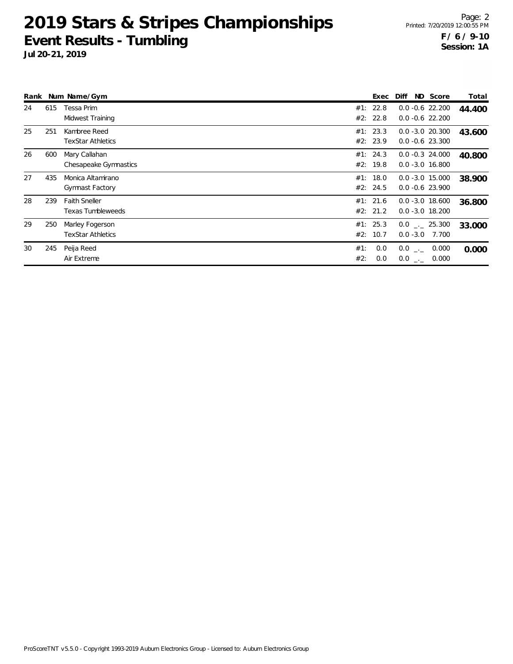|    |     | Rank Num Name/Gym                                |            | Exec                 | Diff                                     | ND Score | Total  |
|----|-----|--------------------------------------------------|------------|----------------------|------------------------------------------|----------|--------|
| 24 | 615 | Tessa Prim<br>Midwest Training                   |            | #1: 22.8<br>#2: 22.8 | $0.0 - 0.6$ 22.200<br>$0.0 - 0.6$ 22.200 |          | 44.400 |
| 25 | 251 | Kambree Reed<br><b>TexStar Athletics</b>         |            | #1: 23.3<br>#2: 23.9 | $0.0 - 3.0 20.300$<br>$0.0 - 0.6$ 23.300 |          | 43.600 |
| 26 | 600 | Mary Callahan<br>Chesapeake Gymnastics           |            | #1: 24.3<br>#2: 19.8 | $0.0 - 0.3$ 24.000<br>$0.0 - 3.0 16.800$ |          | 40.800 |
| 27 | 435 | Monica Altamirano<br>Gymnast Factory             |            | #1: 18.0<br>#2: 24.5 | $0.0 - 3.0 15.000$<br>$0.0 - 0.6$ 23.900 |          | 38.900 |
| 28 | 239 | <b>Faith Sneller</b><br><b>Texas Tumbleweeds</b> |            | #1: 21.6<br>#2: 21.2 | $0.0 - 3.0 18.600$<br>$0.0 - 3.0 18.200$ |          | 36.800 |
| 29 | 250 | Marley Fogerson<br><b>TexStar Athletics</b>      |            | #1: 25.3<br>#2: 10.7 | $0.0$ _._ 25.300<br>$0.0 - 3.0$ 7.700    |          | 33.000 |
| 30 | 245 | Peija Reed<br>Air Extreme                        | #1:<br>#2: | 0.0<br>0.0           | $0.0$ $_{\leftarrow}$<br>$0.0$ _ 0.000   | 0.000    | 0.000  |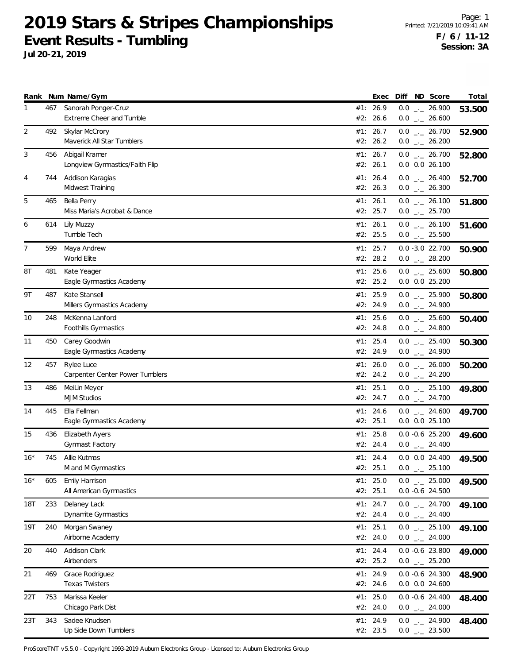**Jul 20-21, 2019**

|                |     | Rank Num Name/Gym                                |     | Exec                   | Diff ND Score                                  | Total  |
|----------------|-----|--------------------------------------------------|-----|------------------------|------------------------------------------------|--------|
| 1              | 467 | Sanorah Ponger-Cruz<br>Extreme Cheer and Tumble  |     | #1: 26.9<br>#2: 26.6   | $0.0$ _ 26.900<br>$0.0$ _ 26.600               | 53.500 |
| $\overline{2}$ | 492 | Skylar McCrory<br>Maverick All Star Tumblers     |     | #1: 26.7<br>#2: 26.2   | $0.0$ _ 26.700<br>$0.0$ _._ 26.200             | 52.900 |
| 3              | 456 | Abigail Kramer<br>Longview Gymnastics/Faith Flip |     | #1: 26.7<br>#2: 26.1   | $0.0$ _ 26.700<br>$0.0$ $0.0$ $26.100$         | 52.800 |
| 4              | 744 | Addison Karagias<br>Midwest Training             |     | #1: 26.4<br>#2: 26.3   | $0.0$ _ 26.400<br>$0.0$ _ 26.300               | 52.700 |
| 5              | 465 | Bella Perry<br>Miss Maria's Acrobat & Dance      |     | #1: 26.1<br>#2: 25.7   | $0.0$ _ 26.100<br>$0.0$ _ 25.700               | 51.800 |
| 6              | 614 | Lily Muzzy<br>Tumble Tech                        |     | #1: 26.1<br>#2: 25.5   | $0.0$ _ 26.100<br>$0.0$ _ 25.500               | 51.600 |
| 7              | 599 | Maya Andrew<br>World Elite                       |     | #1: 25.7<br>#2: 28.2   | $0.0 - 3.0 22.700$<br>$0.0$ _ 28.200           | 50.900 |
| 8T             | 481 | Kate Yeager<br>Eagle Gymnastics Academy          |     | #1: 25.6<br>#2: 25.2   | $0.0$ _ 25.600<br>$0.0$ $0.0$ $25.200$         | 50.800 |
| 9T             | 487 | Kate Stansell<br>Millers Gymnastics Academy      |     | #1: $25.9$<br>#2: 24.9 | $0.0$ _ 25.900<br>$0.0$ $_{-}$ 24.900          | 50.800 |
| 10             | 248 | McKenna Lanford<br>Foothills Gymnastics          |     | #1: 25.6<br>#2: 24.8   | $0.0$ _ 25.600<br>$0.0$ _ 24.800               | 50.400 |
| 11             | 450 | Carey Goodwin<br>Eagle Gymnastics Academy        |     | #1: 25.4<br>#2: 24.9   | $0.0$ _ 25.400<br>$0.0$ $_{\leftarrow}$ 24.900 | 50.300 |
| 12             | 457 | Rylee Luce<br>Carpenter Center Power Tumblers    | #1: | 26.0<br>#2: 24.2       | $0.0$ _ 26.000<br>$0.0$ _ 24.200               | 50.200 |
| 13             | 486 | MeiLin Meyer<br><b>MJM Studios</b>               |     | #1: 25.1<br>#2: 24.7   | $0.0$ _ 25.100<br>$0.0$ _ 24.700               | 49.800 |
| 14             | 445 | Ella Fellman<br>Eagle Gymnastics Academy         |     | #1: 24.6<br>#2: 25.1   | $0.0$ _ 24.600<br>$0.0$ $0.0$ 25.100           | 49.700 |
| 15             | 436 | <b>Elizabeth Ayers</b><br>Gymnast Factory        |     | #1: $25.8$<br>#2: 24.4 | $0.0 - 0.6$ 25.200<br>$0.0$ _ 24.400           | 49.600 |
| $16*$          | 745 | Allie Kutmas<br>M and M Gymnastics               |     | #1: 24.4<br>#2: 25.1   | $0.0$ $0.0$ 24.400<br>$0.0$ $_{-}$ 25.100      | 49.500 |
| $16*$          | 605 | Emily Harrison<br>All American Gymnastics        |     | #1: $25.0$<br>#2: 25.1 | $0.0$ _ 25.000<br>$0.0 -0.6$ 24.500            | 49.500 |
| <b>18T</b>     | 233 | Delaney Lack<br>Dynamite Gymnastics              |     | #1: 24.7<br>#2: 24.4   | $0.0$ _ 24.700<br>$0.0$ _ 24.400               | 49.100 |
| 19T            | 240 | Morgan Swaney<br>Airborne Academy                |     | #1: 25.1<br>#2: 24.0   | $0.0$ _ 25.100<br>$0.0$ _ 24.000               | 49.100 |
| 20             | 440 | Addison Clark<br>Airbenders                      |     | #1: 24.4<br>#2: 25.2   | $0.0 -0.6$ 23.800<br>$0.0$ _ 25.200            | 49.000 |
| 21             | 469 | Grace Rodriguez<br><b>Texas Twisters</b>         |     | #1: 24.9<br>#2: 24.6   | $0.0 - 0.6$ 24.300<br>0.0 0.0 24.600           | 48.900 |
| 22T            | 753 | Marissa Keeler<br>Chicago Park Dist              |     | #1: 25.0<br>#2: 24.0   | $0.0 -0.6$ 24.400<br>$0.0$ _ 24.000            | 48.400 |
| 23T            | 343 | Sadee Knudsen<br>Up Side Down Tumblers           |     | #1: 24.9<br>#2: 23.5   | $0.0$ _ 24.900<br>$0.0$ _ 23.500               | 48.400 |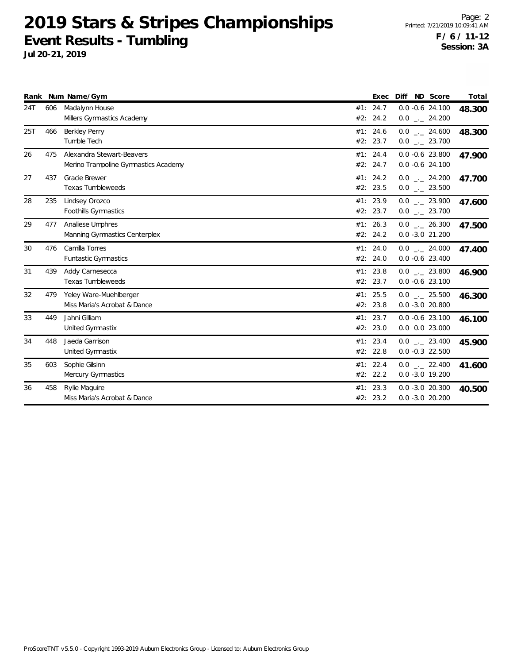|     |     | Rank Num Name/Gym                                                 |     | Exec                 | ND Score<br>Diff                         | Total  |
|-----|-----|-------------------------------------------------------------------|-----|----------------------|------------------------------------------|--------|
| 24T | 606 | Madalynn House<br>Millers Gymnastics Academy                      |     | #1: 24.7<br>#2: 24.2 | $0.0 - 0.6$ 24.100<br>$0.0$ _ 24.200     | 48.300 |
| 25T | 466 | <b>Berkley Perry</b><br>Tumble Tech                               |     | #1: 24.6<br>#2: 23.7 | $0.0$ _ 24.600<br>$0.0$ _ 23.700         | 48.300 |
| 26  | 475 | Alexandra Stewart-Beavers<br>Merino Trampoline Gymnastics Academy |     | #1: 24.4<br>#2: 24.7 | $0.0 - 0.6$ 23.800<br>$0.0 - 0.6 24.100$ | 47.900 |
| 27  | 437 | <b>Gracie Brewer</b><br><b>Texas Tumbleweeds</b>                  |     | #1: 24.2<br>#2: 23.5 | $0.0$ _ 24.200<br>$0.0$ _._ 23.500       | 47.700 |
| 28  | 235 | Lindsey Orozco<br>Foothills Gymnastics                            |     | #1: 23.9<br>#2: 23.7 | $0.0$ _ 23.900<br>$0.0$ _._ 23.700       | 47.600 |
| 29  | 477 | Analiese Umphres<br>Manning Gymnastics Centerplex                 |     | #1: 26.3<br>#2: 24.2 | $0.0$ _ 26.300<br>$0.0 - 3.0 21.200$     | 47.500 |
| 30  | 476 | Camilla Torres<br><b>Funtastic Gymnastics</b>                     |     | #1: 24.0<br>#2: 24.0 | $0.0$ _._ 24.000<br>$0.0 - 0.6$ 23.400   | 47.400 |
| 31  | 439 | Addy Carnesecca<br><b>Texas Tumbleweeds</b>                       |     | #1: 23.8<br>#2: 23.7 | $0.0$ _._ 23.800<br>$0.0 - 0.6$ 23.100   | 46.900 |
| 32  | 479 | Yeley Ware-Muehlberger<br>Miss Maria's Acrobat & Dance            |     | #1: 25.5<br>#2: 23.8 | $0.0$ _ 25.500<br>$0.0 - 3.0 20.800$     | 46.300 |
| 33  | 449 | Jahni Gilliam<br>United Gymnastix                                 |     | #1: 23.7<br>#2: 23.0 | $0.0 - 0.6$ 23.100<br>$0.0$ $0.0$ 23.000 | 46.100 |
| 34  | 448 | Jaeda Garrison<br>United Gymnastix                                | #1: | 23.4<br>#2: 22.8     | $0.0$ _._ 23.400<br>$0.0 -0.3$ 22.500    | 45.900 |
| 35  | 603 | Sophie Gilsinn<br>Mercury Gymnastics                              |     | #1: 22.4<br>#2: 22.2 | $0.0$ _ 22.400<br>$0.0 - 3.0 19.200$     | 41.600 |
| 36  | 458 | Rylie Maguire<br>Miss Maria's Acrobat & Dance                     |     | #1: 23.3<br>#2: 23.2 | $0.0 - 3.0 20.300$<br>$0.0 - 3.0 20.200$ | 40.500 |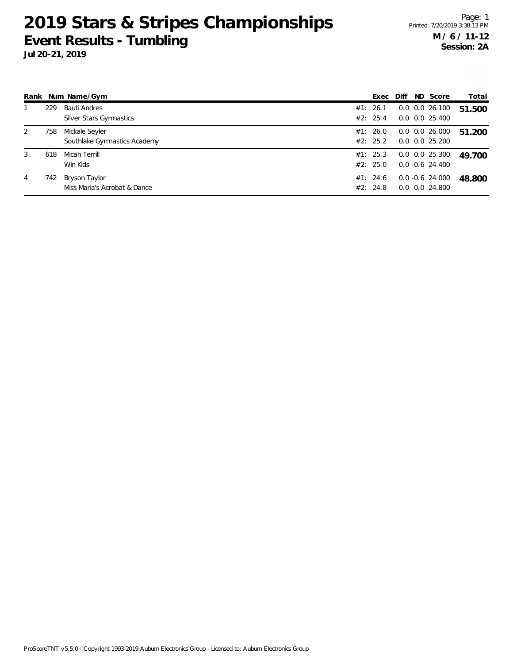**Jul 20-21, 2019**

| Rank |     | Num Name/Gym                                   | Exec                 | Diff | ND Score                                   | Total  |
|------|-----|------------------------------------------------|----------------------|------|--------------------------------------------|--------|
|      | 229 | <b>Bauti Andres</b><br>Silver Stars Gymnastics | #1: 26.1<br>#2: 25.4 |      | $0.0$ $0.0$ 26.100<br>$0.0$ $0.0$ $25.400$ | 51.500 |
| 2    | 758 | Mickale Seyler<br>Southlake Gymnastics Academy | #1: 26.0<br>#2: 25.2 |      | $0.0$ $0.0$ 26.000<br>$0.0$ $0.0$ $25.200$ | 51.200 |
| 3    | 618 | Micah Terrill<br>Win Kids                      | #1: 25.3<br>#2: 25.0 |      | $0.0$ $0.0$ 25.300<br>$0.0 - 0.6$ 24.400   | 49.700 |
| 4    | 742 | Bryson Taylor<br>Miss Maria's Acrobat & Dance  | #1: 24.6<br>#2: 24.8 |      | $0.0 - 0.6$ 24.000<br>$0.0$ $0.0$ 24.800   | 48.800 |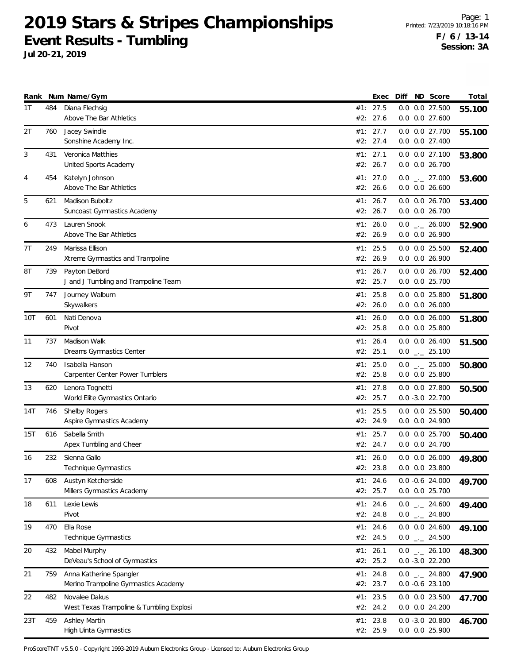**Jul 20-21, 2019**

|     |     | Rank Num Name/Gym                                               |     | Exec                 | Diff | ND Score                                           | Total  |
|-----|-----|-----------------------------------------------------------------|-----|----------------------|------|----------------------------------------------------|--------|
| 1T  | 484 | Diana Flechsig<br>Above The Bar Athletics                       |     | #1: 27.5<br>#2: 27.6 |      | 0.0 0.0 27.500<br>$0.0$ $0.0$ 27.600               | 55.100 |
| 2T  | 760 | Jacey Swindle<br>Sonshine Academy Inc.                          |     | #1: 27.7<br>#2: 27.4 |      | 0.0 0.0 27.700<br>0.0 0.0 27.400                   | 55.100 |
| 3   | 431 | Veronica Matthies<br>United Sports Academy                      |     | #1: 27.1<br>#2: 26.7 |      | 0.0 0.0 27.100<br>0.0 0.0 26.700                   | 53.800 |
| 4   | 454 | Katelyn Johnson<br>Above The Bar Athletics                      |     | #1: 27.0<br>#2: 26.6 |      | $0.0$ _ 27.000<br>$0.0$ $0.0$ 26.600               | 53.600 |
| 5   | 621 | Madison Buboltz<br>Suncoast Gymnastics Academy                  | #1: | 26.7<br>#2: 26.7     |      | $0.0$ $0.0$ 26.700<br>0.0 0.0 26.700               | 53.400 |
| 6   | 473 | Lauren Snook<br>Above The Bar Athletics                         | #1: | 26.0<br>#2: 26.9     |      | $0.0$ _ 26.000<br>0.0 0.0 26.900                   | 52.900 |
| 7T  | 249 | Marissa Ellison<br>Xtreme Gymnastics and Trampoline             | #2: | #1: 25.5<br>26.9     |      | $0.0$ $0.0$ 25.500<br>0.0 0.0 26.900               | 52.400 |
| 8T  | 739 | Payton DeBord<br>J and J Tumbling and Trampoline Team           | #1: | 26.7<br>#2: 25.7     |      | $0.0$ $0.0$ 26.700<br>0.0 0.0 25.700               | 52.400 |
| 9T  | 747 | Journey Walburn<br>Skywalkers                                   | #1: | 25.8<br>#2: 26.0     |      | 0.0 0.0 25.800<br>$0.0$ $0.0$ 26.000               | 51.800 |
| 10T | 601 | Nati Denova<br>Pivot                                            |     | #1: 26.0<br>#2: 25.8 |      | $0.0$ $0.0$ 26.000<br>$0.0$ $0.0$ 25.800           | 51.800 |
| 11  | 737 | Madison Walk<br>Dreams Gymnastics Center                        |     | #1: 26.4<br>#2: 25.1 |      | $0.0$ $0.0$ 26.400<br>$0.0$ $_{\leftarrow}$ 25.100 | 51.500 |
| 12  | 740 | Isabella Hanson<br>Carpenter Center Power Tumblers              | #1: | 25.0<br>#2: 25.8     |      | $0.0$ _ 25.000<br>$0.0$ $0.0$ 25.800               | 50.800 |
| 13  | 620 | Lenora Tognetti<br>World Elite Gymnastics Ontario               |     | #1: 27.8<br>#2: 25.7 |      | $0.0$ $0.0$ 27.800<br>$0.0 - 3.0 22.700$           | 50.500 |
| 14T | 746 | Shelby Rogers<br>Aspire Gymnastics Academy                      |     | #1: 25.5<br>#2: 24.9 |      | $0.0$ $0.0$ 25.500<br>0.0 0.0 24.900               | 50.400 |
| 15T | 616 | Sabella Smith<br>Apex Tumbling and Cheer                        |     | #1: 25.7<br>#2: 24.7 |      | 0.0 0.0 25.700<br>0.0 0.0 24.700                   | 50.400 |
| 16  | 232 | Sienna Gallo<br>Technique Gymnastics                            |     | #1: 26.0<br>#2: 23.8 |      | $0.0$ $0.0$ 26.000<br>$0.0$ $0.0$ 23.800           | 49.800 |
| 17  | 608 | Austyn Ketcherside<br>Millers Gymnastics Academy                |     | #1: 24.6<br>#2: 25.7 |      | $0.0 - 0.6 24.000$<br>0.0 0.0 25.700               | 49.700 |
| 18  | 611 | Lexie Lewis<br>Pivot                                            |     | #1: 24.6<br>#2: 24.8 |      | $0.0$ _ 24.600<br>$0.0$ _ 24.800                   | 49.400 |
| 19  | 470 | Ella Rose<br>Technique Gymnastics                               |     | #1: 24.6<br>#2: 24.5 |      | $0.0$ $0.0$ 24.600<br>$0.0$ $_{--}$ 24.500         | 49.100 |
| 20  | 432 | Mabel Murphy<br>DeVeau's School of Gymnastics                   |     | #1: 26.1<br>#2: 25.2 |      | $0.0$ _ 26.100<br>$0.0 - 3.0 22.200$               | 48.300 |
| 21  | 759 | Anna Katherine Spangler<br>Merino Trampoline Gymnastics Academy |     | #1: 24.8<br>#2: 23.7 |      | $0.0$ _ 24.800<br>$0.0 - 0.6$ 23.100               | 47.900 |
| 22  | 482 | Novalee Dakus<br>West Texas Trampoline & Tumbling Explosi       |     | #1: 23.5<br>#2: 24.2 |      | 0.0 0.0 23.500<br>0.0 0.0 24.200                   | 47.700 |
| 23T | 459 | Ashley Martin<br>High Uinta Gymnastics                          |     | #1: 23.8<br>#2: 25.9 |      | $0.0 - 3.0 20.800$<br>0.0 0.0 25.900               | 46.700 |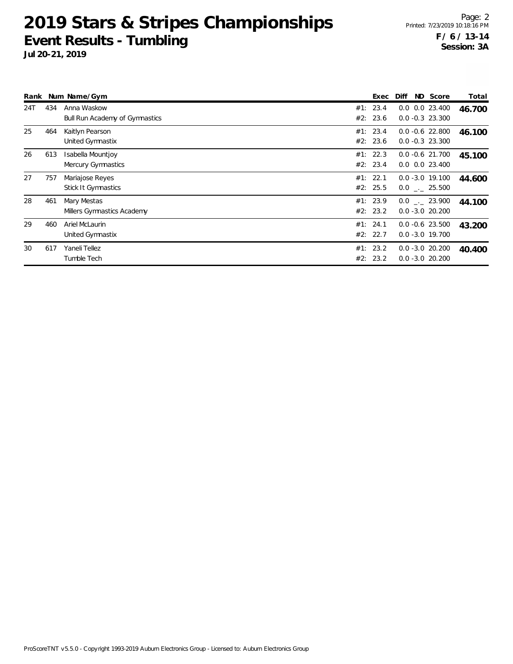|     |     | Rank Num Name/Gym                                    | Exec                 | Diff                                     | ND Score | Total  |
|-----|-----|------------------------------------------------------|----------------------|------------------------------------------|----------|--------|
| 24T | 434 | Anna Waskow<br><b>Bull Run Academy of Gymnastics</b> | #1: 23.4<br>#2: 23.6 | $0.0$ $0.0$ 23.400<br>$0.0 - 0.3$ 23.300 |          | 46.700 |
| 25  | 464 | Kaitlyn Pearson<br>United Gymnastix                  | #1: 23.4<br>#2: 23.6 | $0.0 -0.6$ 22.800<br>$0.0 - 0.3$ 23.300  |          | 46.100 |
| 26  | 613 | Isabella Mountjoy<br>Mercury Gymnastics              | #1: 22.3<br>#2: 23.4 | $0.0 - 0.6$ 21.700<br>$0.0$ $0.0$ 23.400 |          | 45.100 |
| 27  | 757 | Mariajose Reyes<br><b>Stick It Gymnastics</b>        | #1: 22.1<br>#2: 25.5 | $0.0 - 3.0 19.100$<br>$0.0$ . 25.500     |          | 44.600 |
| 28  | 461 | Mary Mestas<br>Millers Gymnastics Academy            | #1: 23.9<br>#2: 23.2 | $0.0$ . 23.900<br>$0.0 - 3.0 20.200$     |          | 44.100 |
| 29  | 460 | Ariel McLaurin<br>United Gymnastix                   | #1: 24.1<br>#2: 22.7 | $0.0 - 0.6$ 23.500<br>$0.0 - 3.0 19.700$ |          | 43.200 |
| 30  | 617 | Yaneli Tellez<br>Tumble Tech                         | #1: 23.2<br>#2: 23.2 | $0.0 - 3.0 20.200$<br>$0.0 - 3.0 20.200$ |          | 40.400 |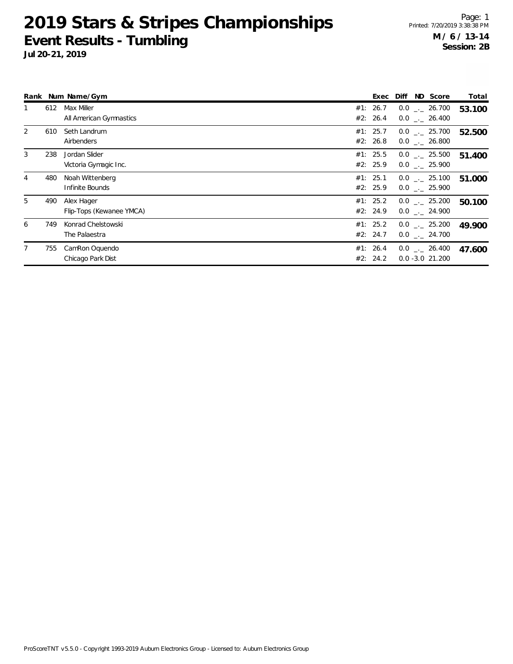|   |     | Rank Num Name/Gym                      | ND Score<br>Diff<br>Exec                                                     | Total  |
|---|-----|----------------------------------------|------------------------------------------------------------------------------|--------|
|   | 612 | Max Miller<br>All American Gymnastics  | #1: 26.7<br>$0.0$ _._ 26.700<br>#2: 26.4<br>$0.0$ _._ 26.400                 | 53.100 |
| 2 | 610 | Seth Landrum<br>Airbenders             | #1: 25.7<br>$0.0$ _._ 25.700<br>#2: 26.8<br>$0.0$ _._ 26.800                 | 52.500 |
| 3 | 238 | Jordan Slider<br>Victoria Gymagic Inc. | #1: 25.5<br>$0.0$ $_{\leftarrow}$ 25.500<br>#2: 25.9<br>$0.0$ $_{-.}$ 25.900 | 51.400 |
|   | 480 | Noah Wittenberg<br>Infinite Bounds     | #1: 25.1<br>$0.0$ _._ 25.100<br>#2: 25.9<br>$0.0$ $_{-.}$ 25.900             | 51.000 |
| 5 | 490 | Alex Hager<br>Flip-Tops (Kewanee YMCA) | #1: 25.2<br>$0.0$ _._ 25.200<br>#2: 24.9<br>$0.0$ . 24.900                   | 50.100 |
| 6 | 749 | Konrad Chelstowski<br>The Palaestra    | #1: 25.2<br>$0.0$ _._ 25.200<br>#2: 24.7<br>$0.0$ _._ 24.700                 | 49.900 |
|   | 755 | CamRon Oquendo<br>Chicago Park Dist    | #1: 26.4<br>$0.0$ _._ 26.400<br>#2: 24.2<br>$0.0 - 3.0 21.200$               | 47.600 |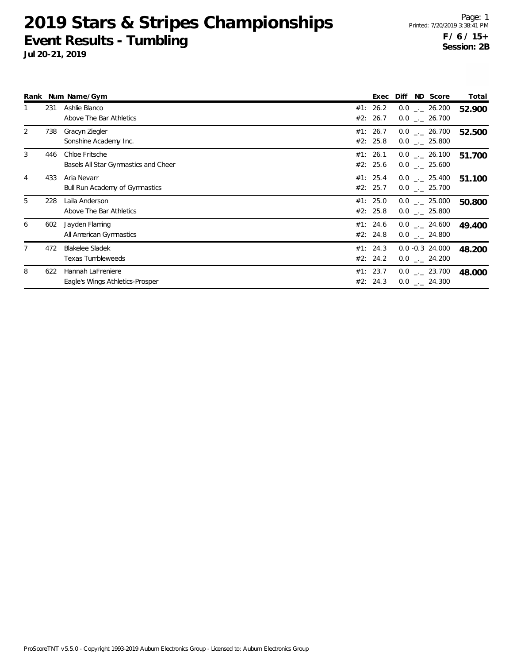|                |     | Rank Num Name/Gym                                      | Exec                 | ND Score<br><b>Diff</b>                        | Total  |
|----------------|-----|--------------------------------------------------------|----------------------|------------------------------------------------|--------|
|                | 231 | Ashlie Blanco<br>Above The Bar Athletics               | #1: 26.2<br>#2: 26.7 | $0.0$ _._ 26.200<br>$0.0$ _ 26.700             | 52.900 |
| $\overline{2}$ | 738 | Gracyn Ziegler<br>Sonshine Academy Inc.                | #1: 26.7<br>#2: 25.8 | $0.0$ _ 26.700<br>$0.0$ _._ 25.800             | 52.500 |
| 3              | 446 | Chloe Fritsche<br>Basels All Star Gymnastics and Cheer | #1: 26.1<br>#2: 25.6 | $0.0$ _._ 26.100<br>$0.0$ _._ 25.600           | 51.700 |
| 4              | 433 | Aria Nevarr<br><b>Bull Run Academy of Gymnastics</b>   | #1: 25.4<br>#2: 25.7 | $0.0$ _._ 25.400<br>$0.0$ _ 25.700             | 51.100 |
| 5              | 228 | Laila Anderson<br>Above The Bar Athletics              | #1: 25.0<br>#2: 25.8 | $0.0$ _._ 25.000<br>$0.0$ _ 25.800             | 50.800 |
| 6              | 602 | Jayden Flaming<br>All American Gymnastics              | #1: 24.6<br>#2: 24.8 | $0.0$ $_{\leftarrow}$ 24.600<br>$0.0$ _ 24.800 | 49.400 |
|                | 472 | <b>Blakelee Sladek</b><br>Texas Tumbleweeds            | #1: 24.3<br>#2: 24.2 | $0.0 -0.3$ 24.000<br>$0.0$ _._ 24.200          | 48.200 |
| 8              | 622 | Hannah LaFreniere<br>Eagle's Wings Athletics-Prosper   | #1: 23.7<br>#2: 24.3 | $0.0$ _._ 23.700<br>$0.0$ _._ 24.300           | 48.000 |